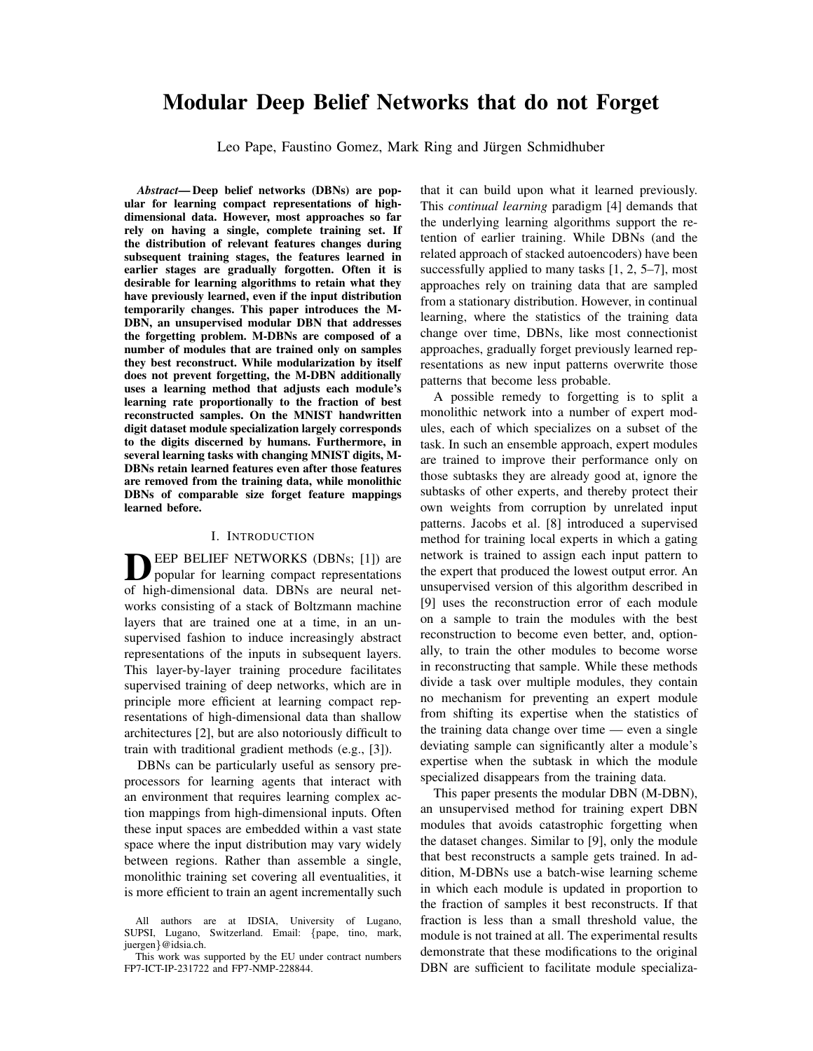# Modular Deep Belief Networks that do not Forget

Leo Pape, Faustino Gomez, Mark Ring and Jürgen Schmidhuber

*Abstract*— Deep belief networks (DBNs) are popular for learning compact representations of highdimensional data. However, most approaches so far rely on having a single, complete training set. If the distribution of relevant features changes during subsequent training stages, the features learned in earlier stages are gradually forgotten. Often it is desirable for learning algorithms to retain what they have previously learned, even if the input distribution temporarily changes. This paper introduces the M-DBN, an unsupervised modular DBN that addresses the forgetting problem. M-DBNs are composed of a number of modules that are trained only on samples they best reconstruct. While modularization by itself does not prevent forgetting, the M-DBN additionally uses a learning method that adjusts each module's learning rate proportionally to the fraction of best reconstructed samples. On the MNIST handwritten digit dataset module specialization largely corresponds to the digits discerned by humans. Furthermore, in several learning tasks with changing MNIST digits, M-DBNs retain learned features even after those features are removed from the training data, while monolithic DBNs of comparable size forget feature mappings learned before.

## I. INTRODUCTION

DEEP BELIEF NETWORKS (DBNs; [1]) are popular for learning compact representations of high-dimensional data. DBNs are neural net-EEP BELIEF NETWORKS (DBNs; [1]) are popular for learning compact representations works consisting of a stack of Boltzmann machine layers that are trained one at a time, in an unsupervised fashion to induce increasingly abstract representations of the inputs in subsequent layers. This layer-by-layer training procedure facilitates supervised training of deep networks, which are in principle more efficient at learning compact representations of high-dimensional data than shallow architectures [2], but are also notoriously difficult to train with traditional gradient methods (e.g., [3]).

DBNs can be particularly useful as sensory preprocessors for learning agents that interact with an environment that requires learning complex action mappings from high-dimensional inputs. Often these input spaces are embedded within a vast state space where the input distribution may vary widely between regions. Rather than assemble a single, monolithic training set covering all eventualities, it is more efficient to train an agent incrementally such that it can build upon what it learned previously. This *continual learning* paradigm [4] demands that the underlying learning algorithms support the retention of earlier training. While DBNs (and the related approach of stacked autoencoders) have been successfully applied to many tasks [1, 2, 5–7], most approaches rely on training data that are sampled from a stationary distribution. However, in continual learning, where the statistics of the training data change over time, DBNs, like most connectionist approaches, gradually forget previously learned representations as new input patterns overwrite those patterns that become less probable.

A possible remedy to forgetting is to split a monolithic network into a number of expert modules, each of which specializes on a subset of the task. In such an ensemble approach, expert modules are trained to improve their performance only on those subtasks they are already good at, ignore the subtasks of other experts, and thereby protect their own weights from corruption by unrelated input patterns. Jacobs et al. [8] introduced a supervised method for training local experts in which a gating network is trained to assign each input pattern to the expert that produced the lowest output error. An unsupervised version of this algorithm described in [9] uses the reconstruction error of each module on a sample to train the modules with the best reconstruction to become even better, and, optionally, to train the other modules to become worse in reconstructing that sample. While these methods divide a task over multiple modules, they contain no mechanism for preventing an expert module from shifting its expertise when the statistics of the training data change over time — even a single deviating sample can significantly alter a module's expertise when the subtask in which the module specialized disappears from the training data.

This paper presents the modular DBN (M-DBN), an unsupervised method for training expert DBN modules that avoids catastrophic forgetting when the dataset changes. Similar to [9], only the module that best reconstructs a sample gets trained. In addition, M-DBNs use a batch-wise learning scheme in which each module is updated in proportion to the fraction of samples it best reconstructs. If that fraction is less than a small threshold value, the module is not trained at all. The experimental results demonstrate that these modifications to the original DBN are sufficient to facilitate module specializa-

All authors are at IDSIA, University of Lugano, SUPSI, Lugano, Switzerland. Email: {pape, tino, mark, juergen}@idsia.ch.

This work was supported by the EU under contract numbers FP7-ICT-IP-231722 and FP7-NMP-228844.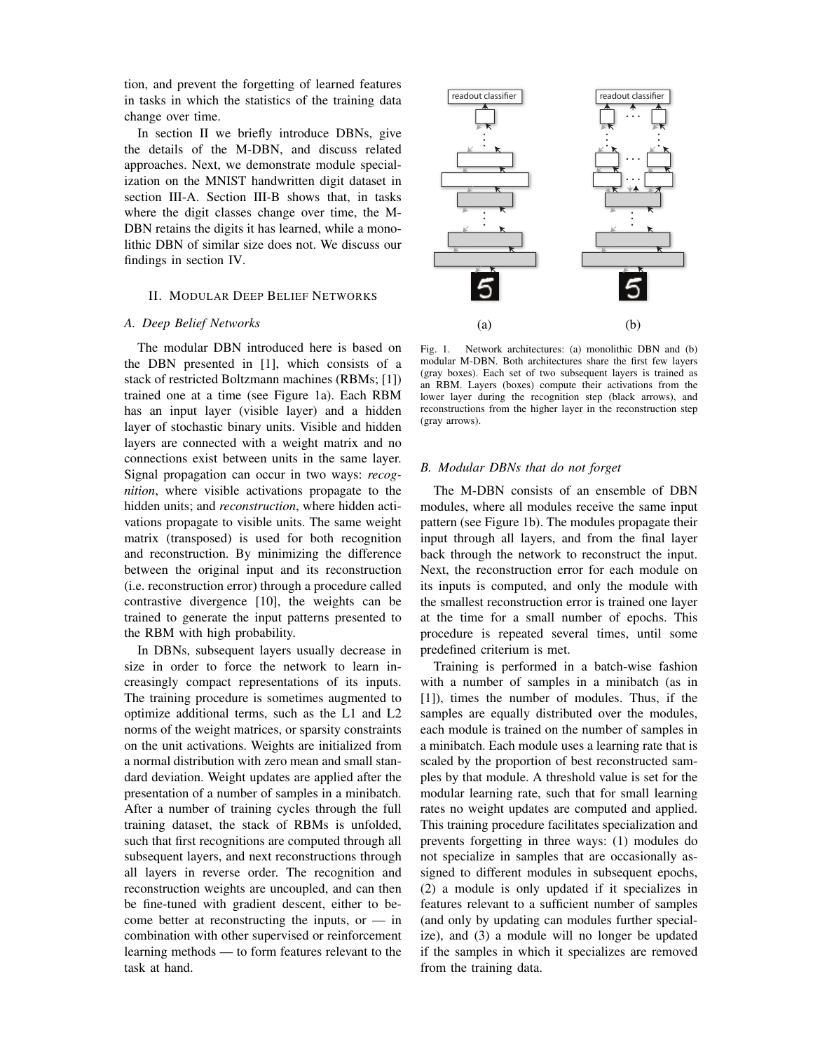tion, and prevent the forgetting of learned features in tasks in which the statistics of the training data change over time.

In section II we briefly introduce DBNs, give the details of the M-DBN, and discuss related approaches. Next, we demonstrate module specialization on the MNIST handwritten digit dataset in section III-A. Section III-B shows that, in tasks where the digit classes change over time, the M-DBN retains the digits it has learned, while a monolithic DBN of similar size does not. We discuss our findings in section IV.

## II. MODULAR DEEP BELIEF NETWORKS

### *A. Deep Belief Networks*

The modular DBN introduced here is based on the DBN presented in [1], which consists of a stack of restricted Boltzmann machines (RBMs; [1]) trained one at a time (see Figure 1a). Each RBM has an input layer (visible layer) and a hidden layer of stochastic binary units. Visible and hidden layers are connected with a weight matrix and no connections exist between units in the same layer. Signal propagation can occur in two ways: *recognition*, where visible activations propagate to the hidden units; and *reconstruction*, where hidden activations propagate to visible units. The same weight matrix (transposed) is used for both recognition and reconstruction. By minimizing the difference between the original input and its reconstruction (i.e. reconstruction error) through a procedure called contrastive divergence [10], the weights can be trained to generate the input patterns presented to the RBM with high probability.

In DBNs, subsequent layers usually decrease in size in order to force the network to learn increasingly compact representations of its inputs. The training procedure is sometimes augmented to optimize additional terms, such as the L1 and L2 norms of the weight matrices, or sparsity constraints on the unit activations. Weights are initialized from a normal distribution with zero mean and small standard deviation. Weight updates are applied after the presentation of a number of samples in a minibatch. After a number of training cycles through the full training dataset, the stack of RBMs is unfolded, such that first recognitions are computed through all subsequent layers, and next reconstructions through all layers in reverse order. The recognition and reconstruction weights are uncoupled, and can then be fine-tuned with gradient descent, either to become better at reconstructing the inputs, or  $-$  in combination with other supervised or reinforcement learning methods — to form features relevant to the task at hand.



Fig. 1. Network architectures: (a) monolithic DBN and (b) modular M-DBN. Both architectures share the first few layers (gray boxes). Each set of two subsequent layers is trained as an RBM. Layers (boxes) compute their activations from the lower layer during the recognition step (black arrows), and reconstructions from the higher layer in the reconstruction step (gray arrows).

## *B. Modular DBNs that do not forget*

The M-DBN consists of an ensemble of DBN modules, where all modules receive the same input pattern (see Figure 1b). The modules propagate their input through all layers, and from the final layer back through the network to reconstruct the input. Next, the reconstruction error for each module on its inputs is computed, and only the module with the smallest reconstruction error is trained one layer at the time for a small number of epochs. This procedure is repeated several times, until some predefined criterium is met.

Training is performed in a batch-wise fashion with a number of samples in a minibatch (as in [1]), times the number of modules. Thus, if the samples are equally distributed over the modules, each module is trained on the number of samples in a minibatch. Each module uses a learning rate that is scaled by the proportion of best reconstructed samples by that module. A threshold value is set for the modular learning rate, such that for small learning rates no weight updates are computed and applied. This training procedure facilitates specialization and prevents forgetting in three ways: (1) modules do not specialize in samples that are occasionally assigned to different modules in subsequent epochs, (2) a module is only updated if it specializes in features relevant to a sufficient number of samples (and only by updating can modules further specialize), and (3) a module will no longer be updated if the samples in which it specializes are removed from the training data.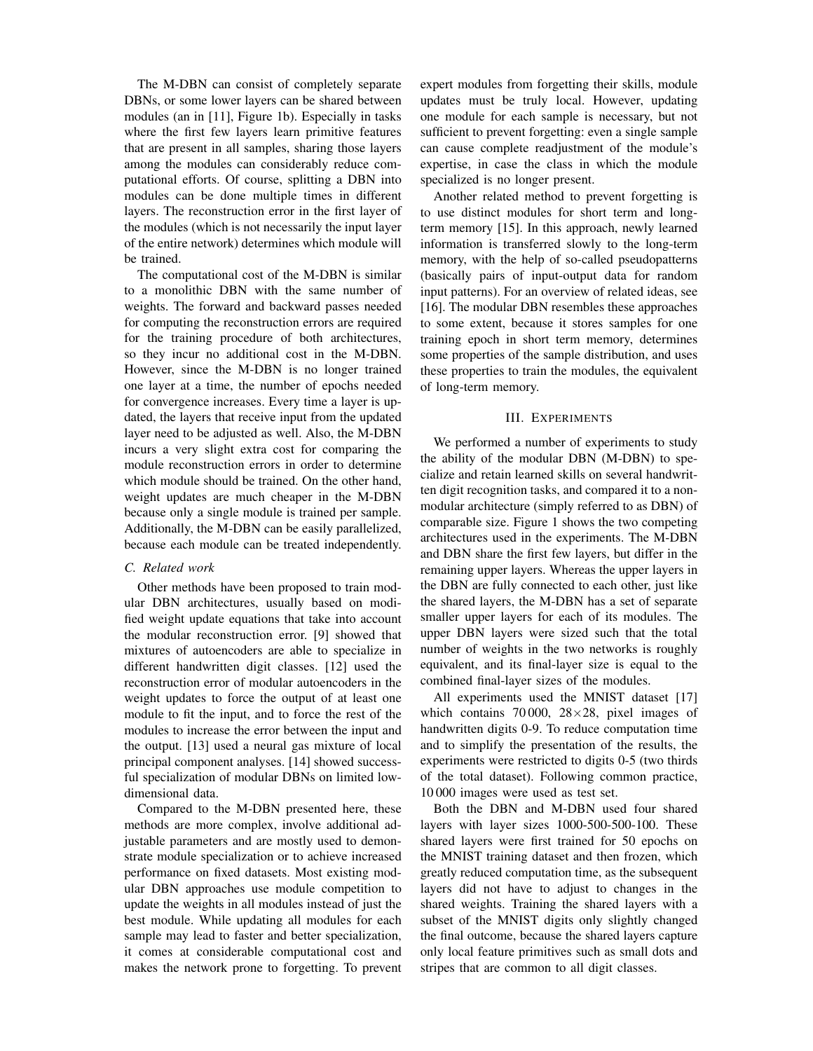The M-DBN can consist of completely separate DBNs, or some lower layers can be shared between modules (an in [11], Figure 1b). Especially in tasks where the first few layers learn primitive features that are present in all samples, sharing those layers among the modules can considerably reduce computational efforts. Of course, splitting a DBN into modules can be done multiple times in different layers. The reconstruction error in the first layer of the modules (which is not necessarily the input layer of the entire network) determines which module will be trained.

The computational cost of the M-DBN is similar to a monolithic DBN with the same number of weights. The forward and backward passes needed for computing the reconstruction errors are required for the training procedure of both architectures, so they incur no additional cost in the M-DBN. However, since the M-DBN is no longer trained one layer at a time, the number of epochs needed for convergence increases. Every time a layer is updated, the layers that receive input from the updated layer need to be adjusted as well. Also, the M-DBN incurs a very slight extra cost for comparing the module reconstruction errors in order to determine which module should be trained. On the other hand, weight updates are much cheaper in the M-DBN because only a single module is trained per sample. Additionally, the M-DBN can be easily parallelized, because each module can be treated independently.

## *C. Related work*

Other methods have been proposed to train modular DBN architectures, usually based on modified weight update equations that take into account the modular reconstruction error. [9] showed that mixtures of autoencoders are able to specialize in different handwritten digit classes. [12] used the reconstruction error of modular autoencoders in the weight updates to force the output of at least one module to fit the input, and to force the rest of the modules to increase the error between the input and the output. [13] used a neural gas mixture of local principal component analyses. [14] showed successful specialization of modular DBNs on limited lowdimensional data.

Compared to the M-DBN presented here, these methods are more complex, involve additional adjustable parameters and are mostly used to demonstrate module specialization or to achieve increased performance on fixed datasets. Most existing modular DBN approaches use module competition to update the weights in all modules instead of just the best module. While updating all modules for each sample may lead to faster and better specialization, it comes at considerable computational cost and makes the network prone to forgetting. To prevent expert modules from forgetting their skills, module updates must be truly local. However, updating one module for each sample is necessary, but not sufficient to prevent forgetting: even a single sample can cause complete readjustment of the module's expertise, in case the class in which the module specialized is no longer present.

Another related method to prevent forgetting is to use distinct modules for short term and longterm memory [15]. In this approach, newly learned information is transferred slowly to the long-term memory, with the help of so-called pseudopatterns (basically pairs of input-output data for random input patterns). For an overview of related ideas, see [16]. The modular DBN resembles these approaches to some extent, because it stores samples for one training epoch in short term memory, determines some properties of the sample distribution, and uses these properties to train the modules, the equivalent of long-term memory.

## III. EXPERIMENTS

We performed a number of experiments to study the ability of the modular DBN (M-DBN) to specialize and retain learned skills on several handwritten digit recognition tasks, and compared it to a nonmodular architecture (simply referred to as DBN) of comparable size. Figure 1 shows the two competing architectures used in the experiments. The M-DBN and DBN share the first few layers, but differ in the remaining upper layers. Whereas the upper layers in the DBN are fully connected to each other, just like the shared layers, the M-DBN has a set of separate smaller upper layers for each of its modules. The upper DBN layers were sized such that the total number of weights in the two networks is roughly equivalent, and its final-layer size is equal to the combined final-layer sizes of the modules.

All experiments used the MNIST dataset [17] which contains 70 000, 28×28, pixel images of handwritten digits 0-9. To reduce computation time and to simplify the presentation of the results, the experiments were restricted to digits 0-5 (two thirds of the total dataset). Following common practice, 10 000 images were used as test set.

Both the DBN and M-DBN used four shared layers with layer sizes 1000-500-500-100. These shared layers were first trained for 50 epochs on the MNIST training dataset and then frozen, which greatly reduced computation time, as the subsequent layers did not have to adjust to changes in the shared weights. Training the shared layers with a subset of the MNIST digits only slightly changed the final outcome, because the shared layers capture only local feature primitives such as small dots and stripes that are common to all digit classes.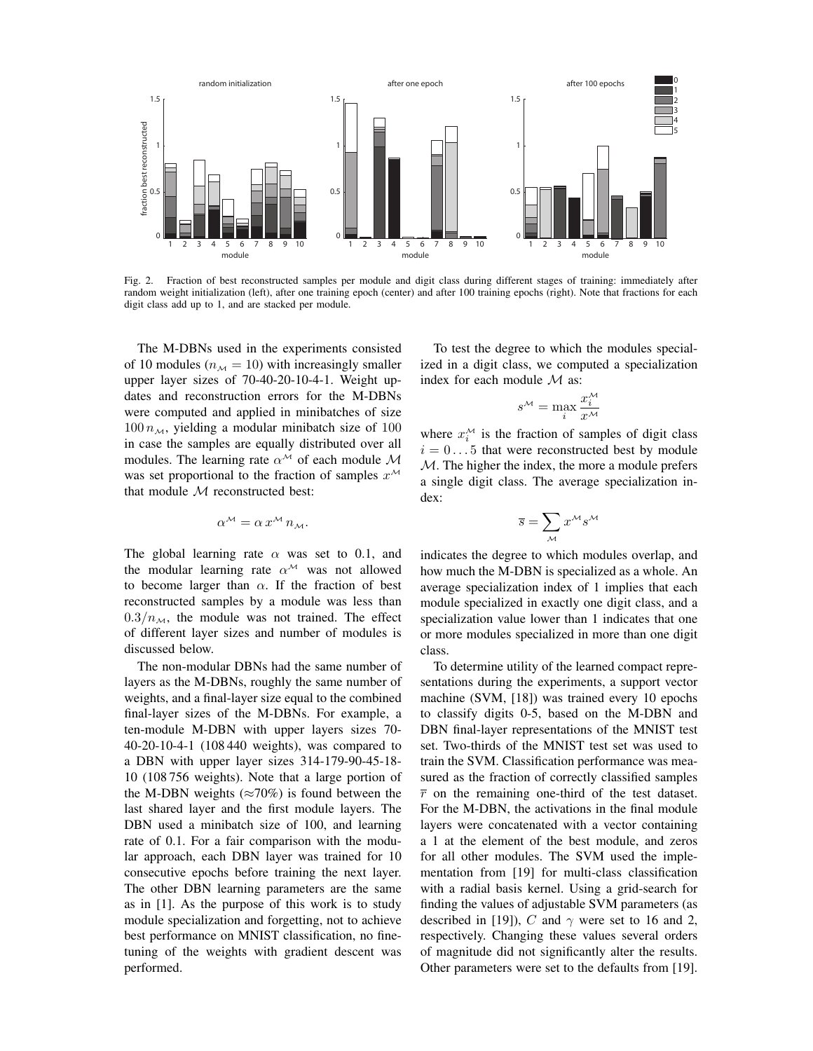

Fig. 2. Fraction of best reconstructed samples per module and digit class during different stages of training: immediately after random weight initialization (left), after one training epoch (center) and after 100 training epochs (right). Note that fractions for each digit class add up to 1, and are stacked per module.

The M-DBNs used in the experiments consisted of 10 modules ( $n<sub>M</sub> = 10$ ) with increasingly smaller upper layer sizes of 70-40-20-10-4-1. Weight updates and reconstruction errors for the M-DBNs were computed and applied in minibatches of size  $100 n_{\mathcal{M}}$ , yielding a modular minibatch size of 100 in case the samples are equally distributed over all modules. The learning rate  $\alpha^{\mathcal{M}}$  of each module M was set proportional to the fraction of samples  $x^{\mathcal{M}}$ that module  $M$  reconstructed best:

$$
\alpha^{\mathcal{M}} = \alpha \, x^{\mathcal{M}} \, n_{\mathcal{M}}.
$$

The global learning rate  $\alpha$  was set to 0.1, and the modular learning rate  $\alpha^{\mathcal{M}}$  was not allowed to become larger than  $\alpha$ . If the fraction of best reconstructed samples by a module was less than  $0.3/n<sub>M</sub>$ , the module was not trained. The effect of different layer sizes and number of modules is discussed below.

The non-modular DBNs had the same number of layers as the M-DBNs, roughly the same number of weights, and a final-layer size equal to the combined final-layer sizes of the M-DBNs. For example, a ten-module M-DBN with upper layers sizes 70- 40-20-10-4-1 (108 440 weights), was compared to a DBN with upper layer sizes 314-179-90-45-18- 10 (108 756 weights). Note that a large portion of the M-DBN weights ( $\approx$ 70%) is found between the last shared layer and the first module layers. The DBN used a minibatch size of 100, and learning rate of 0.1. For a fair comparison with the modular approach, each DBN layer was trained for 10 consecutive epochs before training the next layer. The other DBN learning parameters are the same as in [1]. As the purpose of this work is to study module specialization and forgetting, not to achieve best performance on MNIST classification, no finetuning of the weights with gradient descent was performed.

To test the degree to which the modules specialized in a digit class, we computed a specialization index for each module  $\mathcal M$  as:

$$
s^{\mathcal{M}} = \max_{i} \frac{x_i^{\mathcal{M}}}{x^{\mathcal{M}}}
$$

where  $x_i^M$  is the fraction of samples of digit class  $i = 0...5$  that were reconstructed best by module  $M$ . The higher the index, the more a module prefers a single digit class. The average specialization index:

$$
\overline{s} = \sum_{\mathcal{M}} x^{\mathcal{M}} s^{\mathcal{M}}
$$

indicates the degree to which modules overlap, and how much the M-DBN is specialized as a whole. An average specialization index of 1 implies that each module specialized in exactly one digit class, and a specialization value lower than 1 indicates that one or more modules specialized in more than one digit class.

To determine utility of the learned compact representations during the experiments, a support vector machine (SVM, [18]) was trained every 10 epochs to classify digits 0-5, based on the M-DBN and DBN final-layer representations of the MNIST test set. Two-thirds of the MNIST test set was used to train the SVM. Classification performance was measured as the fraction of correctly classified samples  $\overline{r}$  on the remaining one-third of the test dataset. For the M-DBN, the activations in the final module layers were concatenated with a vector containing a 1 at the element of the best module, and zeros for all other modules. The SVM used the implementation from [19] for multi-class classification with a radial basis kernel. Using a grid-search for finding the values of adjustable SVM parameters (as described in [19]), C and  $\gamma$  were set to 16 and 2, respectively. Changing these values several orders of magnitude did not significantly alter the results. Other parameters were set to the defaults from [19].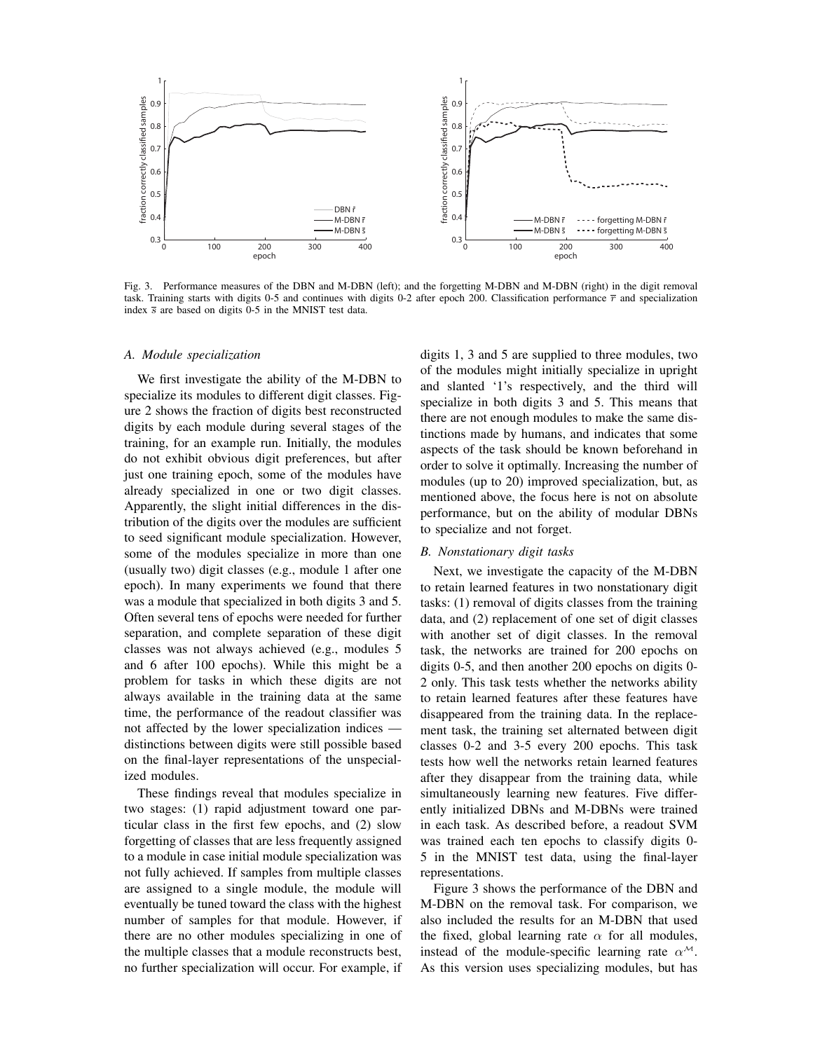

Fig. 3. Performance measures of the DBN and M-DBN (left); and the forgetting M-DBN and M-DBN (right) in the digit removal task. Training starts with digits 0-5 and continues with digits 0-2 after epoch 200. Classification performance  $\bar{r}$  and specialization index  $\bar{s}$  are based on digits 0-5 in the MNIST test data.

#### *A. Module specialization*

We first investigate the ability of the M-DBN to specialize its modules to different digit classes. Figure 2 shows the fraction of digits best reconstructed digits by each module during several stages of the training, for an example run. Initially, the modules do not exhibit obvious digit preferences, but after just one training epoch, some of the modules have already specialized in one or two digit classes. Apparently, the slight initial differences in the distribution of the digits over the modules are sufficient to seed significant module specialization. However, some of the modules specialize in more than one (usually two) digit classes (e.g., module 1 after one epoch). In many experiments we found that there was a module that specialized in both digits 3 and 5. Often several tens of epochs were needed for further separation, and complete separation of these digit classes was not always achieved (e.g., modules 5 and 6 after 100 epochs). While this might be a problem for tasks in which these digits are not always available in the training data at the same time, the performance of the readout classifier was not affected by the lower specialization indices distinctions between digits were still possible based on the final-layer representations of the unspecialized modules.

These findings reveal that modules specialize in two stages: (1) rapid adjustment toward one particular class in the first few epochs, and (2) slow forgetting of classes that are less frequently assigned to a module in case initial module specialization was not fully achieved. If samples from multiple classes are assigned to a single module, the module will eventually be tuned toward the class with the highest number of samples for that module. However, if there are no other modules specializing in one of the multiple classes that a module reconstructs best, no further specialization will occur. For example, if digits 1, 3 and 5 are supplied to three modules, two of the modules might initially specialize in upright and slanted '1's respectively, and the third will specialize in both digits 3 and 5. This means that there are not enough modules to make the same distinctions made by humans, and indicates that some aspects of the task should be known beforehand in order to solve it optimally. Increasing the number of modules (up to 20) improved specialization, but, as mentioned above, the focus here is not on absolute performance, but on the ability of modular DBNs to specialize and not forget.

#### *B. Nonstationary digit tasks*

Next, we investigate the capacity of the M-DBN to retain learned features in two nonstationary digit tasks: (1) removal of digits classes from the training data, and (2) replacement of one set of digit classes with another set of digit classes. In the removal task, the networks are trained for 200 epochs on digits 0-5, and then another 200 epochs on digits 0- 2 only. This task tests whether the networks ability to retain learned features after these features have disappeared from the training data. In the replacement task, the training set alternated between digit classes 0-2 and 3-5 every 200 epochs. This task tests how well the networks retain learned features after they disappear from the training data, while simultaneously learning new features. Five differently initialized DBNs and M-DBNs were trained in each task. As described before, a readout SVM was trained each ten epochs to classify digits 0- 5 in the MNIST test data, using the final-layer representations.

Figure 3 shows the performance of the DBN and M-DBN on the removal task. For comparison, we also included the results for an M-DBN that used the fixed, global learning rate  $\alpha$  for all modules, instead of the module-specific learning rate  $\alpha^{\mathcal{M}}$ . As this version uses specializing modules, but has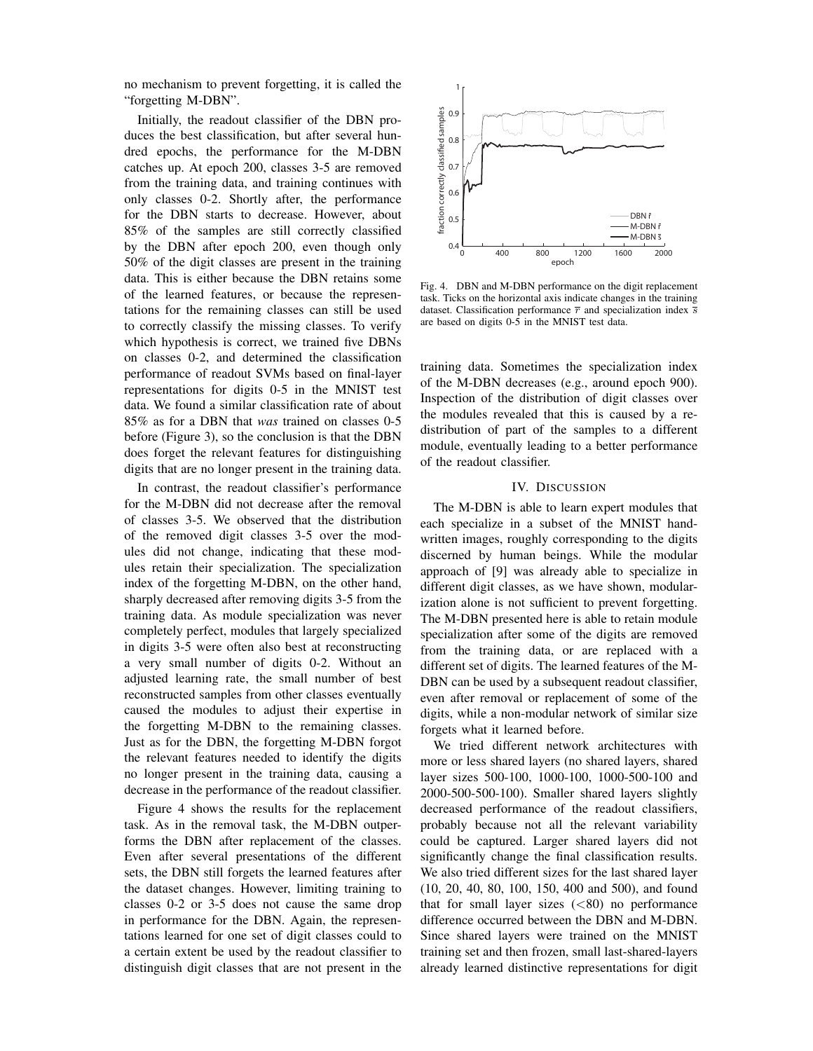no mechanism to prevent forgetting, it is called the "forgetting M-DBN".

Initially, the readout classifier of the DBN produces the best classification, but after several hundred epochs, the performance for the M-DBN catches up. At epoch 200, classes 3-5 are removed from the training data, and training continues with only classes 0-2. Shortly after, the performance for the DBN starts to decrease. However, about 85% of the samples are still correctly classified by the DBN after epoch 200, even though only 50% of the digit classes are present in the training data. This is either because the DBN retains some of the learned features, or because the representations for the remaining classes can still be used to correctly classify the missing classes. To verify which hypothesis is correct, we trained five DBNs on classes 0-2, and determined the classification performance of readout SVMs based on final-layer representations for digits 0-5 in the MNIST test data. We found a similar classification rate of about 85% as for a DBN that *was* trained on classes 0-5 before (Figure 3), so the conclusion is that the DBN does forget the relevant features for distinguishing digits that are no longer present in the training data.

In contrast, the readout classifier's performance for the M-DBN did not decrease after the removal of classes 3-5. We observed that the distribution of the removed digit classes 3-5 over the modules did not change, indicating that these modules retain their specialization. The specialization index of the forgetting M-DBN, on the other hand, sharply decreased after removing digits 3-5 from the training data. As module specialization was never completely perfect, modules that largely specialized in digits 3-5 were often also best at reconstructing a very small number of digits 0-2. Without an adjusted learning rate, the small number of best reconstructed samples from other classes eventually caused the modules to adjust their expertise in the forgetting M-DBN to the remaining classes. Just as for the DBN, the forgetting M-DBN forgot the relevant features needed to identify the digits no longer present in the training data, causing a decrease in the performance of the readout classifier.

Figure 4 shows the results for the replacement task. As in the removal task, the M-DBN outperforms the DBN after replacement of the classes. Even after several presentations of the different sets, the DBN still forgets the learned features after the dataset changes. However, limiting training to classes 0-2 or 3-5 does not cause the same drop in performance for the DBN. Again, the representations learned for one set of digit classes could to a certain extent be used by the readout classifier to distinguish digit classes that are not present in the



Fig. 4. DBN and M-DBN performance on the digit replacement task. Ticks on the horizontal axis indicate changes in the training dataset. Classification performance  $\bar{r}$  and specialization index  $\bar{s}$ are based on digits 0-5 in the MNIST test data.

training data. Sometimes the specialization index of the M-DBN decreases (e.g., around epoch 900). Inspection of the distribution of digit classes over the modules revealed that this is caused by a redistribution of part of the samples to a different module, eventually leading to a better performance of the readout classifier.

### IV. DISCUSSION

The M-DBN is able to learn expert modules that each specialize in a subset of the MNIST handwritten images, roughly corresponding to the digits discerned by human beings. While the modular approach of [9] was already able to specialize in different digit classes, as we have shown, modularization alone is not sufficient to prevent forgetting. The M-DBN presented here is able to retain module specialization after some of the digits are removed from the training data, or are replaced with a different set of digits. The learned features of the M-DBN can be used by a subsequent readout classifier, even after removal or replacement of some of the digits, while a non-modular network of similar size forgets what it learned before.

We tried different network architectures with more or less shared layers (no shared layers, shared layer sizes 500-100, 1000-100, 1000-500-100 and 2000-500-500-100). Smaller shared layers slightly decreased performance of the readout classifiers, probably because not all the relevant variability could be captured. Larger shared layers did not significantly change the final classification results. We also tried different sizes for the last shared layer (10, 20, 40, 80, 100, 150, 400 and 500), and found that for small layer sizes  $( $80$ )$  no performance difference occurred between the DBN and M-DBN. Since shared layers were trained on the MNIST training set and then frozen, small last-shared-layers already learned distinctive representations for digit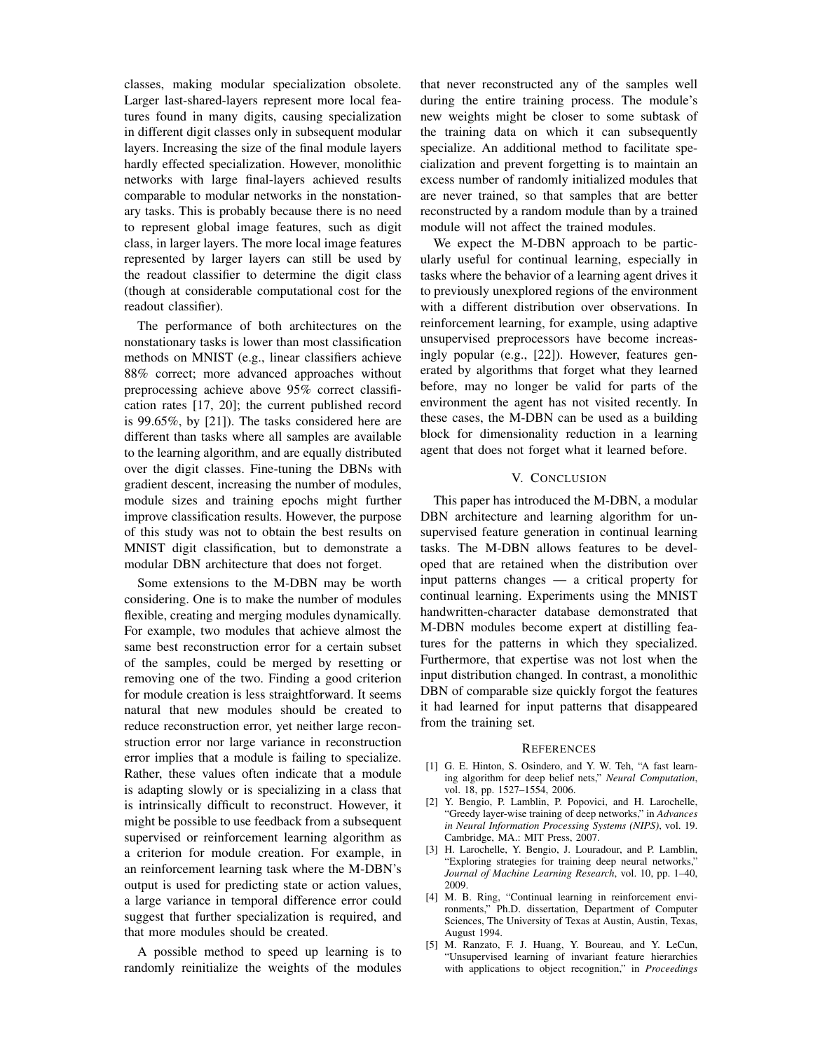classes, making modular specialization obsolete. Larger last-shared-layers represent more local features found in many digits, causing specialization in different digit classes only in subsequent modular layers. Increasing the size of the final module layers hardly effected specialization. However, monolithic networks with large final-layers achieved results comparable to modular networks in the nonstationary tasks. This is probably because there is no need to represent global image features, such as digit class, in larger layers. The more local image features represented by larger layers can still be used by the readout classifier to determine the digit class (though at considerable computational cost for the readout classifier).

The performance of both architectures on the nonstationary tasks is lower than most classification methods on MNIST (e.g., linear classifiers achieve 88% correct; more advanced approaches without preprocessing achieve above 95% correct classification rates [17, 20]; the current published record is 99.65%, by [21]). The tasks considered here are different than tasks where all samples are available to the learning algorithm, and are equally distributed over the digit classes. Fine-tuning the DBNs with gradient descent, increasing the number of modules, module sizes and training epochs might further improve classification results. However, the purpose of this study was not to obtain the best results on MNIST digit classification, but to demonstrate a modular DBN architecture that does not forget.

Some extensions to the M-DBN may be worth considering. One is to make the number of modules flexible, creating and merging modules dynamically. For example, two modules that achieve almost the same best reconstruction error for a certain subset of the samples, could be merged by resetting or removing one of the two. Finding a good criterion for module creation is less straightforward. It seems natural that new modules should be created to reduce reconstruction error, yet neither large reconstruction error nor large variance in reconstruction error implies that a module is failing to specialize. Rather, these values often indicate that a module is adapting slowly or is specializing in a class that is intrinsically difficult to reconstruct. However, it might be possible to use feedback from a subsequent supervised or reinforcement learning algorithm as a criterion for module creation. For example, in an reinforcement learning task where the M-DBN's output is used for predicting state or action values, a large variance in temporal difference error could suggest that further specialization is required, and that more modules should be created.

A possible method to speed up learning is to randomly reinitialize the weights of the modules that never reconstructed any of the samples well during the entire training process. The module's new weights might be closer to some subtask of the training data on which it can subsequently specialize. An additional method to facilitate specialization and prevent forgetting is to maintain an excess number of randomly initialized modules that are never trained, so that samples that are better reconstructed by a random module than by a trained module will not affect the trained modules.

We expect the M-DBN approach to be particularly useful for continual learning, especially in tasks where the behavior of a learning agent drives it to previously unexplored regions of the environment with a different distribution over observations. In reinforcement learning, for example, using adaptive unsupervised preprocessors have become increasingly popular (e.g., [22]). However, features generated by algorithms that forget what they learned before, may no longer be valid for parts of the environment the agent has not visited recently. In these cases, the M-DBN can be used as a building block for dimensionality reduction in a learning agent that does not forget what it learned before.

### V. CONCLUSION

This paper has introduced the M-DBN, a modular DBN architecture and learning algorithm for unsupervised feature generation in continual learning tasks. The M-DBN allows features to be developed that are retained when the distribution over input patterns changes — a critical property for continual learning. Experiments using the MNIST handwritten-character database demonstrated that M-DBN modules become expert at distilling features for the patterns in which they specialized. Furthermore, that expertise was not lost when the input distribution changed. In contrast, a monolithic DBN of comparable size quickly forgot the features it had learned for input patterns that disappeared from the training set.

#### **REFERENCES**

- [1] G. E. Hinton, S. Osindero, and Y. W. Teh, "A fast learning algorithm for deep belief nets," *Neural Computation*, vol. 18, pp. 1527–1554, 2006.
- [2] Y. Bengio, P. Lamblin, P. Popovici, and H. Larochelle, "Greedy layer-wise training of deep networks," in *Advances in Neural Information Processing Systems (NIPS)*, vol. 19. Cambridge, MA.: MIT Press, 2007.
- [3] H. Larochelle, Y. Bengio, J. Louradour, and P. Lamblin, "Exploring strategies for training deep neural networks," *Journal of Machine Learning Research*, vol. 10, pp. 1–40, 2009.
- [4] M. B. Ring, "Continual learning in reinforcement environments," Ph.D. dissertation, Department of Computer Sciences, The University of Texas at Austin, Austin, Texas, August 1994.
- [5] M. Ranzato, F. J. Huang, Y. Boureau, and Y. LeCun, "Unsupervised learning of invariant feature hierarchies with applications to object recognition," in *Proceedings*